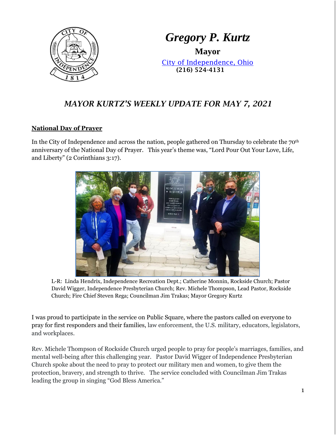

# *Gregory P. Kurtz*

**Mayor** [City of Independence, Ohio](file://///user2019/home$/loraa/My%20Documents/www.independenceohio.org) (216) 524-4131

## *MAYOR KURTZ'S WEEKLY UPDATE FOR MAY 7, 2021*

#### **National Day of Prayer**

In the City of Independence and across the nation, people gathered on Thursday to celebrate the 70<sup>th</sup> anniversary of the National Day of Prayer. This year's theme was, "Lord Pour Out Your Love, Life, and Liberty" (2 Corinthians 3:17).



L-R: Linda Hendrix, Independence Recreation Dept.; Catherine Monnin, Rockside Church; Pastor David Wigger, Independence Presbyterian Church; Rev. Michele Thompson, Lead Pastor, Rockside Church; Fire Chief Steven Rega; Councilman Jim Trakas; Mayor Gregory Kurtz

I was proud to participate in the service on Public Square, where the pastors called on everyone to pray for first responders and their families, law enforcement, the U.S. military, educators, legislators, and workplaces.

Rev. Michele Thompson of Rockside Church urged people to pray for people's marriages, families, and mental well-being after this challenging year. Pastor David Wigger of Independence Presbyterian Church spoke about the need to pray to protect our military men and women, to give them the protection, bravery, and strength to thrive. The service concluded with Councilman Jim Trakas leading the group in singing "God Bless America."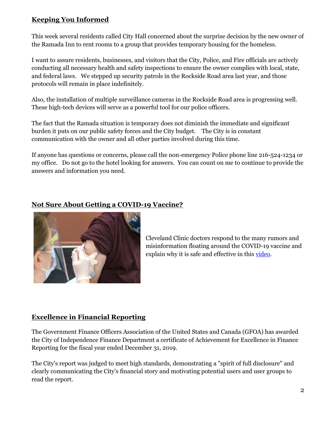## **Keeping You Informed**

This week several residents called City Hall concerned about the surprise decision by the new owner of the Ramada Inn to rent rooms to a group that provides temporary housing for the homeless.

I want to assure residents, businesses, and visitors that the City, Police, and Fire officials are actively conducting all necessary health and safety inspections to ensure the owner complies with local, state, and federal laws. We stepped up security patrols in the Rockside Road area last year, and those protocols will remain in place indefinitely.

Also, the installation of multiple surveillance cameras in the Rockside Road area is progressing well. These high-tech devices will serve as a powerful tool for our police officers.

The fact that the Ramada situation is temporary does not diminish the immediate and significant burden it puts on our public safety forces and the City budget. The City is in constant communication with the owner and all other parties involved during this time.

If anyone has questions or concerns, please call the non-emergency Police phone line 216-524-1234 or my office. Do not go to the hotel looking for answers. You can count on me to continue to provide the answers and information you need.

## **Not Sure About Getting a COVID-19 Vaccine?**



Cleveland Clinic doctors respond to the many rumors and misinformation floating around the COVID-19 vaccine and explain why it is safe and effective in this [video.](https://www.youtube.com/watch?v=EKjdzIVtKSo)

#### **Excellence in Financial Reporting**

The Government Finance Officers Association of the United States and Canada (GFOA) has awarded the City of Independence Finance Department a certificate of Achievement for Excellence in Finance Reporting for the fiscal year ended December 31, 2019.

The City's report was judged to meet high standards, demonstrating a "spirit of full disclosure" and clearly communicating the City's financial story and motivating potential users and user groups to read the report.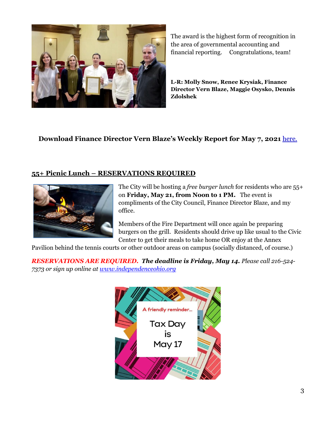

The award is the highest form of recognition in the area of governmental accounting and financial reporting. Congratulations, team!

**L-R: Molly Snow, Renee Krysiak, Finance Director Vern Blaze, Maggie Osysko, Dennis Zdolshek**

## **Download Finance Director Vern Blaze's Weekly Report for May 7, 2021** [here.](http://cms9.revize.com/revize/independenceoh/departments/finance/finance_report_-_weekly_.php#outer-480)

#### **55+ Picnic Lunch – RESERVATIONS REQUIRED**



The City will be hosting a *free burger lunch* for residents who are 55+ on **Friday, May 21, from Noon to 1 PM.** The event is compliments of the City Council, Finance Director Blaze, and my office.

Members of the Fire Department will once again be preparing burgers on the grill. Residents should drive up like usual to the Civic Center to get their meals to take home OR enjoy at the Annex

Pavilion behind the tennis courts or other outdoor areas on campus (socially distanced, of course.)

*RESERVATIONS ARE REQUIRED. The deadline is Friday, May 14. Please call 216-524- 7373 or sign up online a[t www.independenceohio.org](http://www.independenceohio.org/)*

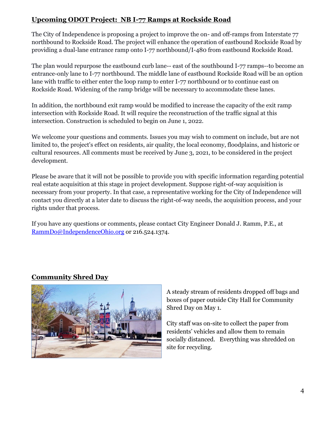## **Upcoming ODOT Project: NB I-77 Ramps at Rockside Road**

The City of Independence is proposing a project to improve the on- and off-ramps from Interstate 77 northbound to Rockside Road. The project will enhance the operation of eastbound Rockside Road by providing a dual-lane entrance ramp onto I-77 northbound/I-480 from eastbound Rockside Road.

The plan would repurpose the eastbound curb lane-- east of the southbound I-77 ramps--to become an entrance-only lane to I-77 northbound. The middle lane of eastbound Rockside Road will be an option lane with traffic to either enter the loop ramp to enter I-77 northbound or to continue east on Rockside Road. Widening of the ramp bridge will be necessary to accommodate these lanes.

In addition, the northbound exit ramp would be modified to increase the capacity of the exit ramp intersection with Rockside Road. It will require the reconstruction of the traffic signal at this intersection. Construction is scheduled to begin on June 1, 2022.

We welcome your questions and comments. Issues you may wish to comment on include, but are not limited to, the project's effect on residents, air quality, the local economy, floodplains, and historic or cultural resources. All comments must be received by June 3, 2021, to be considered in the project development.

Please be aware that it will not be possible to provide you with specific information regarding potential real estate acquisition at this stage in project development. Suppose right-of-way acquisition is necessary from your property. In that case, a representative working for the City of Independence will contact you directly at a later date to discuss the right-of-way needs, the acquisition process, and your rights under that process.

If you have any questions or comments, please contact City Engineer Donald J. Ramm, P.E., at [RammDo@IndependenceOhio.org](mailto:RammDo@IndependenceOhio.org) or 216.524.1374.

## **Community Shred Day**



A steady stream of residents dropped off bags and boxes of paper outside City Hall for Community Shred Day on May 1.

City staff was on-site to collect the paper from residents' vehicles and allow them to remain socially distanced. Everything was shredded on site for recycling.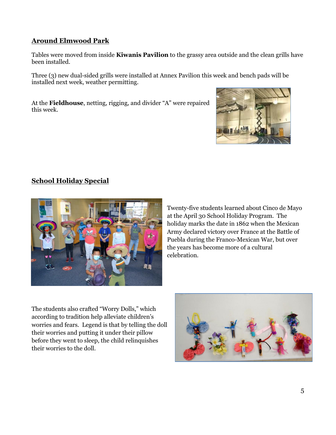## **Around Elmwood Park**

Tables were moved from inside **Kiwanis Pavilion** to the grassy area outside and the clean grills have been installed.

Three (3) new dual-sided grills were installed at Annex Pavilion this week and bench pads will be installed next week, weather permitting.

At the **Fieldhouse**, netting, rigging, and divider "A" were repaired this week.



## **School Holiday Special**



Twenty-five students learned about Cinco de Mayo at the April 30 School Holiday Program. The holiday marks the date in 1862 when the Mexican Army declared victory over France at the Battle of Puebla during the Franco-Mexican War, but over the years has become more of a cultural celebration.

The students also crafted "Worry Dolls," which according to tradition help alleviate children's worries and fears. Legend is that by telling the doll their worries and putting it under their pillow before they went to sleep, the child relinquishes their worries to the doll.

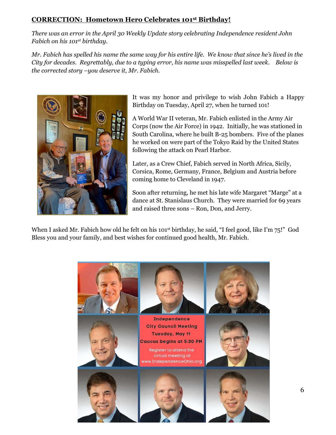## **CORRECTION: Hometown Hero Celebrates 101st Birthday!**

*There was an error in the April 30 Weekly Update story celebrating Independence resident John Fabich on his 101st birthday.* 

*Mr. Fabich has spelled his name the same way for his entire life. We know that since he's lived in the City for decades. Regrettably, due to a typing error, his name was misspelled last week. Below is the corrected story –you deserve it, Mr. Fabich.* 



It was my honor and privilege to wish John Fabich a Happy Birthday on Tuesday, April 27, when he turned 101!

A World War II veteran, Mr. Fabich enlisted in the Army Air Corps (now the Air Force) in 1942. Initially, he was stationed in South Carolina, where he built B-25 bombers. Five of the planes he worked on were part of the Tokyo Raid by the United States following the attack on Pearl Harbor.

Later, as a Crew Chief, Fabich served in North Africa, Sicily, Corsica, Rome, Germany, France, Belgium and Austria before coming home to Cleveland in 1947.

Soon after returning, he met his late wife Margaret "Marge" at a dance at St. Stanislaus Church. They were married for 69 years and raised three sons – Ron, Don, and Jerry.

When I asked Mr. Fabich how old he felt on his  $101<sup>st</sup>$  birthday, he said, "I feel good, like I'm 75!" God Bless you and your family, and best wishes for continued good health, Mr. Fabich.